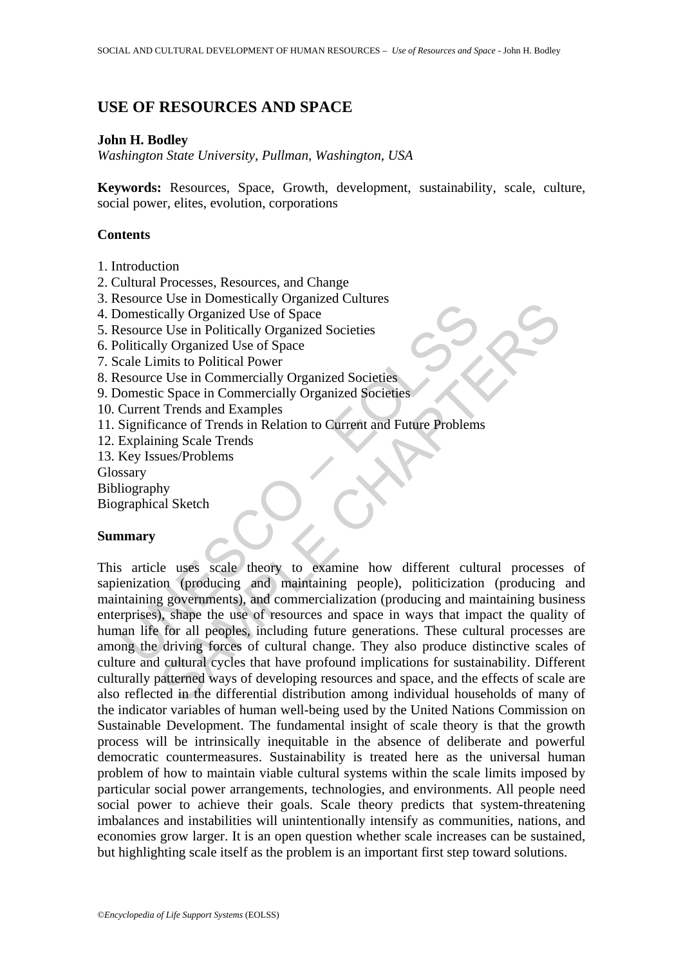## **USE OF RESOURCES AND SPACE**

### **John H. Bodley**

*Washington State University, Pullman, Washington, USA* 

**Keywords:** Resources, Space, Growth, development, sustainability, scale, culture, social power, elites, evolution, corporations

### **Contents**

- 1. Introduction
- 2. Cultural Processes, Resources, and Change
- 3. Resource Use in Domestically Organized Cultures
- 4. Domestically Organized Use of Space
- 5. Resource Use in Politically Organized Societies
- 6. Politically Organized Use of Space
- 7. Scale Limits to Political Power
- 8. Resource Use in Commercially Organized Societies
- 9. Domestic Space in Commercially Organized Societies
- 10. Current Trends and Examples
- 11. Significance of Trends in Relation to Current and Future Problems
- 12. Explaining Scale Trends
- 13. Key Issues/Problems

Glossary

- Bibliography
- Biographical Sketch

## **Summary**

Considered and Demonstration of Space<br>
Consistically Organized Use of Space<br>
esource Use in Politically Organized Societies<br>
columnized Use of Space<br>
cale Limits to Political Power<br>
cale Limits to Political Power<br>
cale Lim Cost in Doministanty or squared contacts<br>
and yo reganized Use of Space<br>
E Use in Political Power and Examples<br>
E Use in Continental Organized Societies<br>
C Space in Commercially Organized Societies<br>
C Space in Commercially This article uses scale theory to examine how different cultural processes of sapienization (producing and maintaining people), politicization (producing and maintaining governments), and commercialization (producing and maintaining business enterprises), shape the use of resources and space in ways that impact the quality of human life for all peoples, including future generations. These cultural processes are among the driving forces of cultural change. They also produce distinctive scales of culture and cultural cycles that have profound implications for sustainability. Different culturally patterned ways of developing resources and space, and the effects of scale are also reflected in the differential distribution among individual households of many of the indicator variables of human well-being used by the United Nations Commission on Sustainable Development. The fundamental insight of scale theory is that the growth process will be intrinsically inequitable in the absence of deliberate and powerful democratic countermeasures. Sustainability is treated here as the universal human problem of how to maintain viable cultural systems within the scale limits imposed by particular social power arrangements, technologies, and environments. All people need social power to achieve their goals. Scale theory predicts that system-threatening imbalances and instabilities will unintentionally intensify as communities, nations, and economies grow larger. It is an open question whether scale increases can be sustained, but highlighting scale itself as the problem is an important first step toward solutions.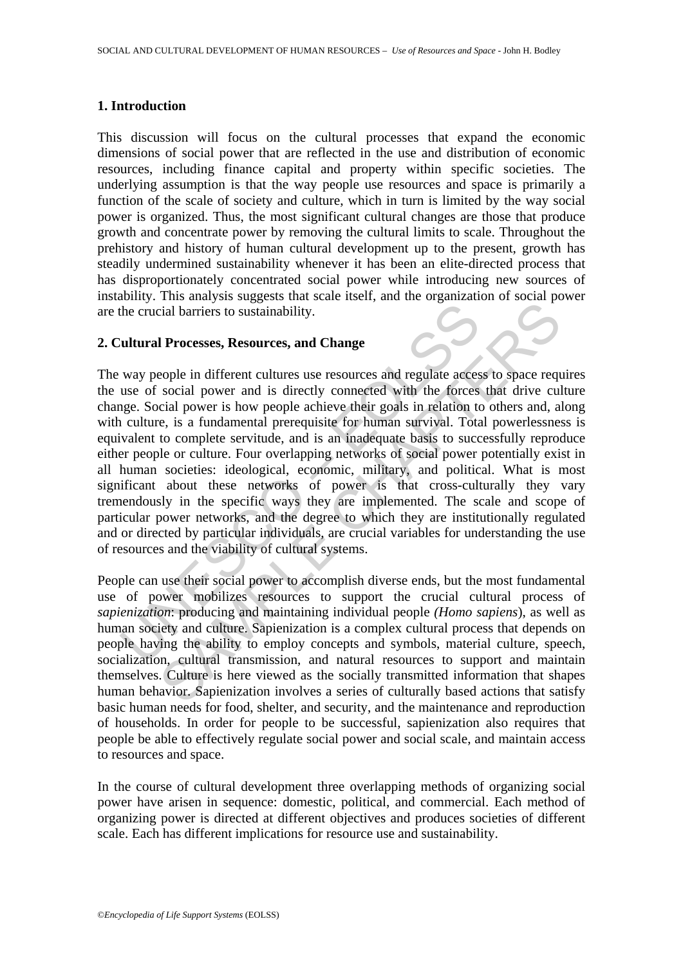### **1. Introduction**

This discussion will focus on the cultural processes that expand the economic dimensions of social power that are reflected in the use and distribution of economic resources, including finance capital and property within specific societies. The underlying assumption is that the way people use resources and space is primarily a function of the scale of society and culture, which in turn is limited by the way social power is organized. Thus, the most significant cultural changes are those that produce growth and concentrate power by removing the cultural limits to scale. Throughout the prehistory and history of human cultural development up to the present, growth has steadily undermined sustainability whenever it has been an elite-directed process that has disproportionately concentrated social power while introducing new sources of instability. This analysis suggests that scale itself, and the organization of social power are the crucial barriers to sustainability.

# **2. Cultural Processes, Resources, and Change**

the crucial barriers to sustainability.<br> **Cultural Processes, Resources, and Change**<br>
way people in different cultures use resources and regulate acces<br>
use of social power and is directly connected with the forces<br>
nege. **Processes, Resources, and Change**<br>
cial barriers to sustainability.<br> **1 Processes, Resources, and Change**<br>
eople in different cultures use resources and regulate access to space requ<br>
science is a fundamental prerequisit The way people in different cultures use resources and regulate access to space requires the use of social power and is directly connected with the forces that drive culture change. Social power is how people achieve their goals in relation to others and, along with culture, is a fundamental prerequisite for human survival. Total powerlessness is equivalent to complete servitude, and is an inadequate basis to successfully reproduce either people or culture. Four overlapping networks of social power potentially exist in all human societies: ideological, economic, military, and political. What is most significant about these networks of power is that cross-culturally they vary tremendously in the specific ways they are implemented. The scale and scope of particular power networks, and the degree to which they are institutionally regulated and or directed by particular individuals, are crucial variables for understanding the use of resources and the viability of cultural systems.

People can use their social power to accomplish diverse ends, but the most fundamental use of power mobilizes resources to support the crucial cultural process of *sapienization*: producing and maintaining individual people *(Homo sapiens*), as well as human society and culture. Sapienization is a complex cultural process that depends on people having the ability to employ concepts and symbols, material culture, speech, socialization, cultural transmission, and natural resources to support and maintain themselves. Culture is here viewed as the socially transmitted information that shapes human behavior. Sapienization involves a series of culturally based actions that satisfy basic human needs for food, shelter, and security, and the maintenance and reproduction of households. In order for people to be successful, sapienization also requires that people be able to effectively regulate social power and social scale, and maintain access to resources and space.

In the course of cultural development three overlapping methods of organizing social power have arisen in sequence: domestic, political, and commercial. Each method of organizing power is directed at different objectives and produces societies of different scale. Each has different implications for resource use and sustainability.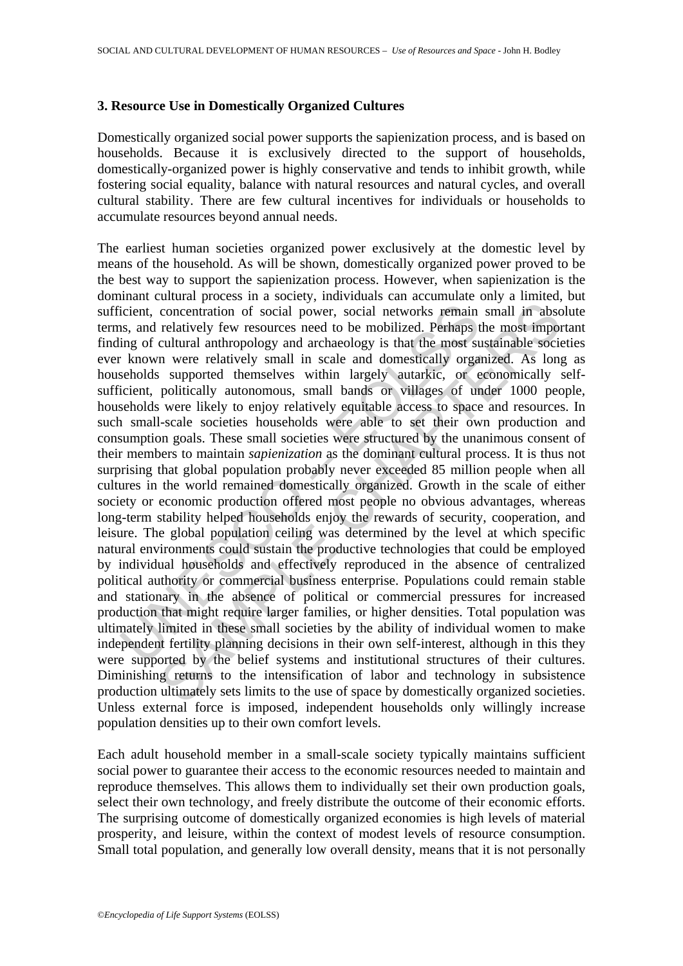### **3. Resource Use in Domestically Organized Cultures**

Domestically organized social power supports the sapienization process, and is based on households. Because it is exclusively directed to the support of households, domestically-organized power is highly conservative and tends to inhibit growth, while fostering social equality, balance with natural resources and natural cycles, and overall cultural stability. There are few cultural incentives for individuals or households to accumulate resources beyond annual needs.

icient, concentration of social power, social networks remain<br>s, and relatively few resources need to be mobilized. Perhaps t<br>ing of cultural anthropology and archaeology is that the most su<br>resoludis supported themselves concentration of social power, social networks remain small im absorchatrion of social power, social networks remain small im absorclatively few resources need to be mobilized. Perhaps the most sumport and and more relativ The earliest human societies organized power exclusively at the domestic level by means of the household. As will be shown, domestically organized power proved to be the best way to support the sapienization process. However, when sapienization is the dominant cultural process in a society, individuals can accumulate only a limited, but sufficient, concentration of social power, social networks remain small in absolute terms, and relatively few resources need to be mobilized. Perhaps the most important finding of cultural anthropology and archaeology is that the most sustainable societies ever known were relatively small in scale and domestically organized. As long as households supported themselves within largely autarkic, or economically selfsufficient, politically autonomous, small bands or villages of under 1000 people, households were likely to enjoy relatively equitable access to space and resources. In such small-scale societies households were able to set their own production and consumption goals. These small societies were structured by the unanimous consent of their members to maintain *sapienization* as the dominant cultural process. It is thus not surprising that global population probably never exceeded 85 million people when all cultures in the world remained domestically organized. Growth in the scale of either society or economic production offered most people no obvious advantages, whereas long-term stability helped households enjoy the rewards of security, cooperation, and leisure. The global population ceiling was determined by the level at which specific natural environments could sustain the productive technologies that could be employed by individual households and effectively reproduced in the absence of centralized political authority or commercial business enterprise. Populations could remain stable and stationary in the absence of political or commercial pressures for increased production that might require larger families, or higher densities. Total population was ultimately limited in these small societies by the ability of individual women to make independent fertility planning decisions in their own self-interest, although in this they were supported by the belief systems and institutional structures of their cultures. Diminishing returns to the intensification of labor and technology in subsistence production ultimately sets limits to the use of space by domestically organized societies. Unless external force is imposed, independent households only willingly increase population densities up to their own comfort levels.

Each adult household member in a small-scale society typically maintains sufficient social power to guarantee their access to the economic resources needed to maintain and reproduce themselves. This allows them to individually set their own production goals, select their own technology, and freely distribute the outcome of their economic efforts. The surprising outcome of domestically organized economies is high levels of material prosperity, and leisure, within the context of modest levels of resource consumption. Small total population, and generally low overall density, means that it is not personally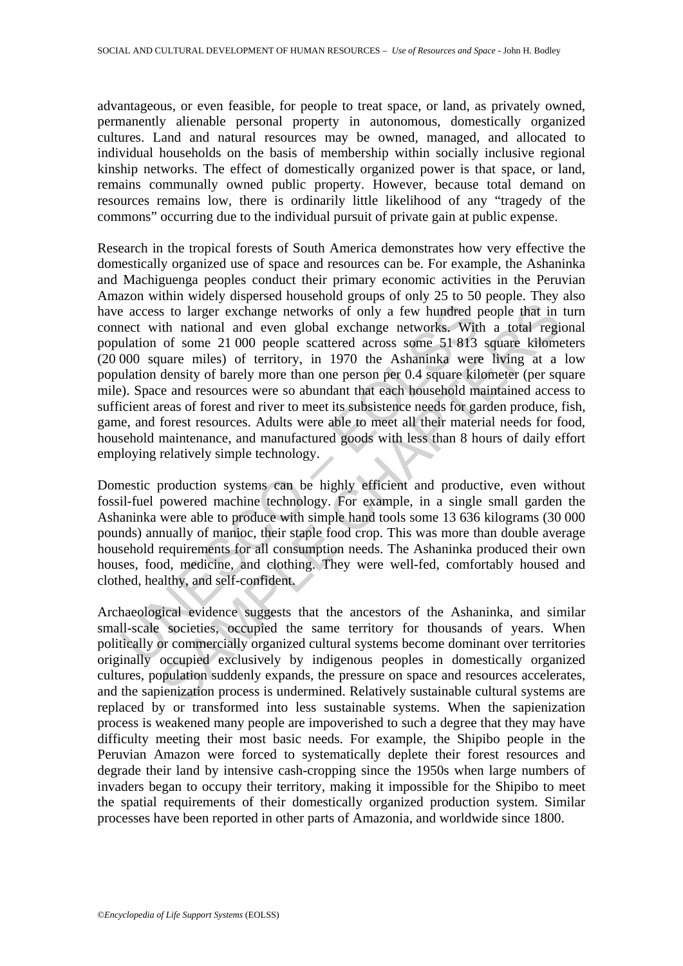advantageous, or even feasible, for people to treat space, or land, as privately owned, permanently alienable personal property in autonomous, domestically organized cultures. Land and natural resources may be owned, managed, and allocated to individual households on the basis of membership within socially inclusive regional kinship networks. The effect of domestically organized power is that space, or land, remains communally owned public property. However, because total demand on resources remains low, there is ordinarily little likelihood of any "tragedy of the commons" occurring due to the individual pursuit of private gain at public expense.

e access to larger exchange networks of only a few hundred percet with national and even global exchange networks. With<br>ulation of some 21 000 people scattered across some 51 813<br>000 square miles) of territory, in 1970 the is to larger exchange networks of only a few hundred people that in<br>th national and even global exchange networks. With a total regi<br>of some 21 000 people scattered across some 51 8413 square kilometer<br>plumer miles) of ter Research in the tropical forests of South America demonstrates how very effective the domestically organized use of space and resources can be. For example, the Ashaninka and Machiguenga peoples conduct their primary economic activities in the Peruvian Amazon within widely dispersed household groups of only 25 to 50 people. They also have access to larger exchange networks of only a few hundred people that in turn connect with national and even global exchange networks. With a total regional population of some 21 000 people scattered across some 51 813 square kilometers (20 000 square miles) of territory, in 1970 the Ashaninka were living at a low population density of barely more than one person per 0.4 square kilometer (per square mile). Space and resources were so abundant that each household maintained access to sufficient areas of forest and river to meet its subsistence needs for garden produce, fish, game, and forest resources. Adults were able to meet all their material needs for food, household maintenance, and manufactured goods with less than 8 hours of daily effort employing relatively simple technology.

Domestic production systems can be highly efficient and productive, even without fossil-fuel powered machine technology. For example, in a single small garden the Ashaninka were able to produce with simple hand tools some 13 636 kilograms (30 000 pounds) annually of manioc, their staple food crop. This was more than double average household requirements for all consumption needs. The Ashaninka produced their own houses, food, medicine, and clothing. They were well-fed, comfortably housed and clothed, healthy, and self-confident.

Archaeological evidence suggests that the ancestors of the Ashaninka, and similar small-scale societies, occupied the same territory for thousands of years. When politically or commercially organized cultural systems become dominant over territories originally occupied exclusively by indigenous peoples in domestically organized cultures, population suddenly expands, the pressure on space and resources accelerates, and the sapienization process is undermined. Relatively sustainable cultural systems are replaced by or transformed into less sustainable systems. When the sapienization process is weakened many people are impoverished to such a degree that they may have difficulty meeting their most basic needs. For example, the Shipibo people in the Peruvian Amazon were forced to systematically deplete their forest resources and degrade their land by intensive cash-cropping since the 1950s when large numbers of invaders began to occupy their territory, making it impossible for the Shipibo to meet the spatial requirements of their domestically organized production system. Similar processes have been reported in other parts of Amazonia, and worldwide since 1800.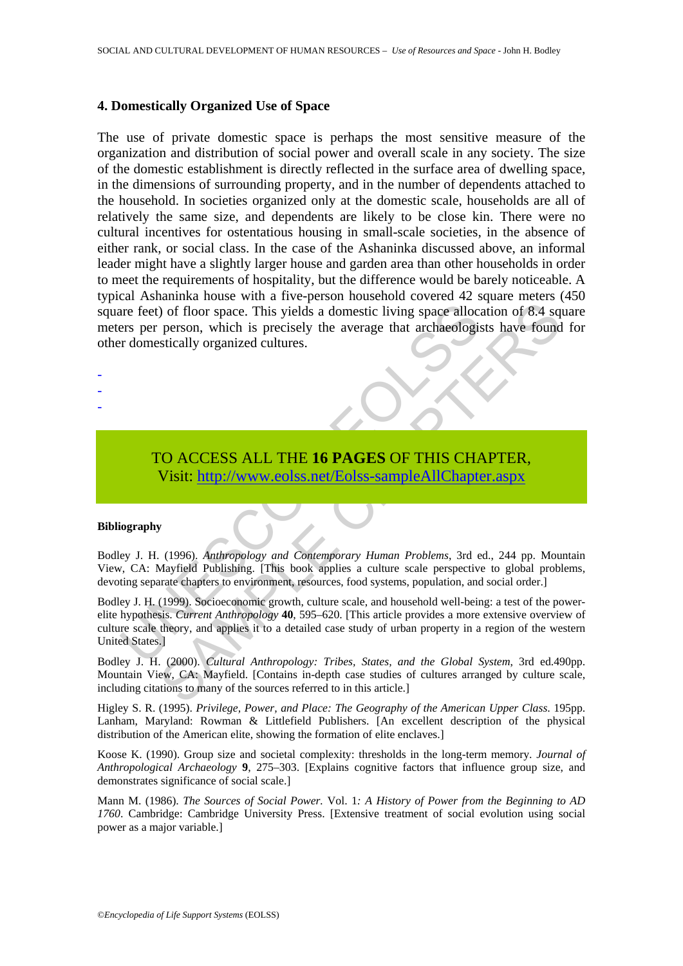### **4. Domestically Organized Use of Space**

The use of private domestic space is perhaps the most sensitive measure of the organization and distribution of social power and overall scale in any society. The size of the domestic establishment is directly reflected in the surface area of dwelling space, in the dimensions of surrounding property, and in the number of dependents attached to the household. In societies organized only at the domestic scale, households are all of relatively the same size, and dependents are likely to be close kin. There were no cultural incentives for ostentatious housing in small-scale societies, in the absence of either rank, or social class. In the case of the Ashaninka discussed above, an informal leader might have a slightly larger house and garden area than other households in order to meet the requirements of hospitality, but the difference would be barely noticeable. A typical Ashaninka house with a five-person household covered 42 square meters (450 square feet) of floor space. This yields a domestic living space allocation of 8.4 square meters per person, which is precisely the average that archaeologists have found for other domestically organized cultures.

> TO ACCESS ALL THE **16 PAGES** OF THIS CHAPTER, Visit: http://www.eolss.net/Eolss-sampleAllChapter.aspx

### **Bibliography**

- - -

Bodley J. H. (1996). *Anthropology and Contemporary Human Problems*, 3rd ed., 244 pp. Mountain View, CA: Mayfield Publishing. [This book applies a culture scale perspective to global problems, devoting separate chapters to environment, resources, food systems, population, and social order.]

The space of the space. This yields a domestic living space alloctomers per person, which is precisely the average that archaeologisty domestically organized cultures.<br>
TO ACCESS ALL THE 16 PAGES OF THIS CHA Visit: http:// (a) of floor space. This yields a domestic living space allocation of 8.4 sq<br>person, which is precisely the average that archaeologists have found<br>stically organized cultures.<br>Stically organized cultures.<br>The average that Bodley J. H. (1999). Socioeconomic growth, culture scale, and household well-being: a test of the powerelite hypothesis. *Current Anthropology* **40**, 595–620. [This article provides a more extensive overview of culture scale theory, and applies it to a detailed case study of urban property in a region of the western United States.]

Bodley J. H. (2000). *Cultural Anthropology: Tribes, States, and the Global System*, 3rd ed.490pp. Mountain View, CA: Mayfield. [Contains in-depth case studies of cultures arranged by culture scale, including citations to many of the sources referred to in this article.]

Higley S. R. (1995). *Privilege, Power, and Place: The Geography of the American Upper Class*. 195pp. Lanham, Maryland: Rowman & Littlefield Publishers. [An excellent description of the physical distribution of the American elite, showing the formation of elite enclaves.]

Koose K. (1990). Group size and societal complexity: thresholds in the long-term memory. *Journal of Anthropological Archaeology* **9**, 275–303. [Explains cognitive factors that influence group size, and demonstrates significance of social scale.]

Mann M. (1986). *The Sources of Social Power.* Vol. 1*: A History of Power from the Beginning to AD 1760*. Cambridge: Cambridge University Press. [Extensive treatment of social evolution using social power as a major variable.]